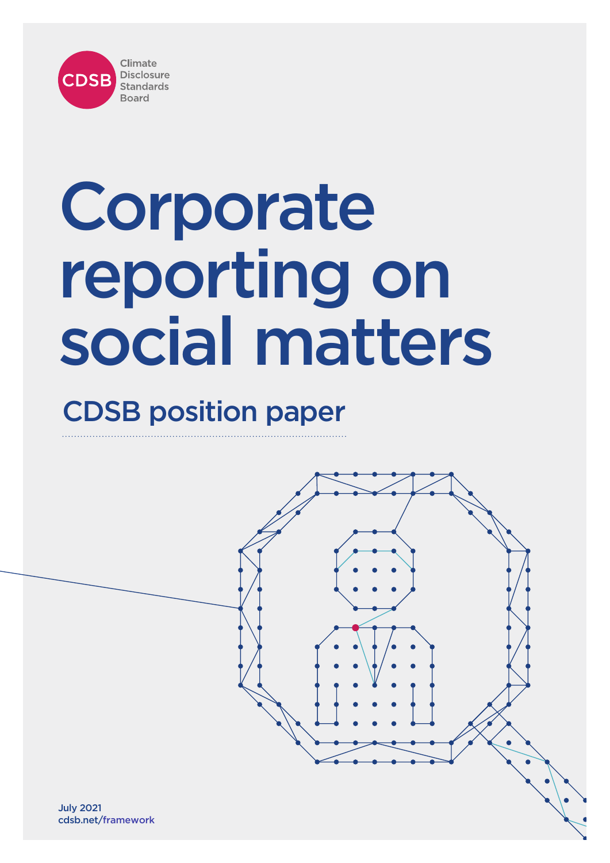

# CDSB position paper



July 2021 cdsb.net/framework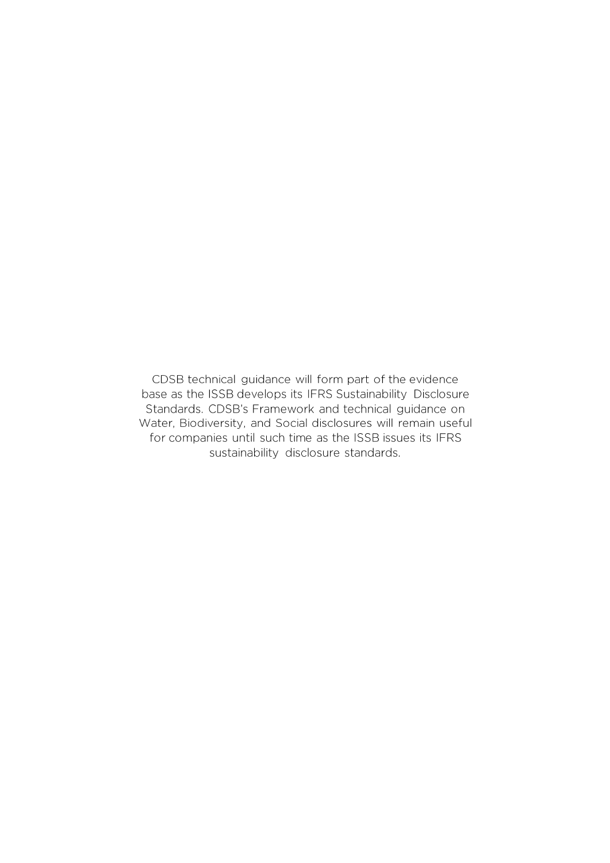CDSB technical guidance will form part of the evidence base as the ISSB develops its IFRS Sustainability Disclosure Standards. CDSB's Framework and technical guidance on Water, Biodiversity, and Social disclosures will remain useful for companies until such time as the ISSB issues its IFRS sustainability disclosure standards.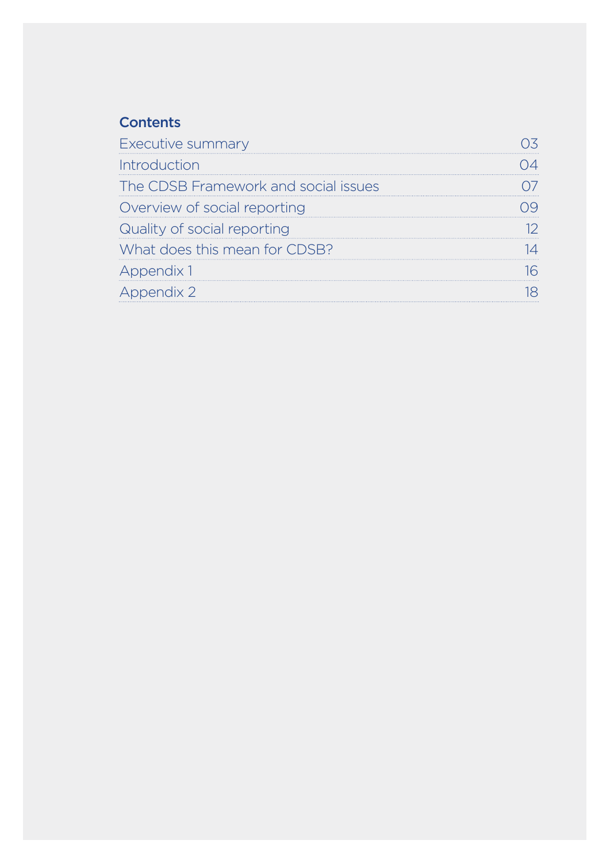# **Contents**

| <b>Executive summary</b>             |  |
|--------------------------------------|--|
| Introduction                         |  |
| The CDSB Framework and social issues |  |
| Overview of social reporting         |  |
| Quality of social reporting          |  |
| What does this mean for CDSB?        |  |
| Appendix 1                           |  |
| pendix 2                             |  |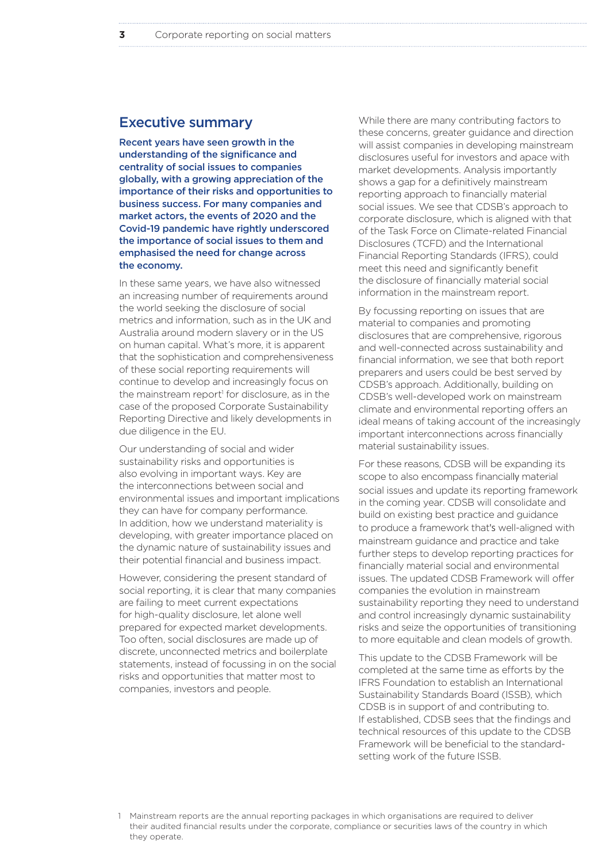### Executive summary

Recent years have seen growth in the understanding of the significance and centrality of social issues to companies globally, with a growing appreciation of the importance of their risks and opportunities to business success. For many companies and market actors, the events of 2020 and the Covid-19 pandemic have rightly underscored the importance of social issues to them and emphasised the need for change across the economy.

In these same years, we have also witnessed an increasing number of requirements around the world seeking the disclosure of social metrics and information, such as in the UK and Australia around modern slavery or in the US on human capital. What's more, it is apparent that the sophistication and comprehensiveness of these social reporting requirements will continue to develop and increasingly focus on the mainstream report<sup>1</sup> for disclosure, as in the case of the proposed Corporate Sustainability Reporting Directive and likely developments in due diligence in the EU.

Our understanding of social and wider sustainability risks and opportunities is also evolving in important ways. Key are the interconnections between social and environmental issues and important implications they can have for company performance. In addition, how we understand materiality is developing, with greater importance placed on the dynamic nature of sustainability issues and their potential financial and business impact.

However, considering the present standard of social reporting, it is clear that many companies are failing to meet current expectations for high-quality disclosure, let alone well prepared for expected market developments. Too often, social disclosures are made up of discrete, unconnected metrics and boilerplate statements, instead of focussing in on the social risks and opportunities that matter most to companies, investors and people.

While there are many contributing factors to these concerns, greater guidance and direction will assist companies in developing mainstream disclosures useful for investors and apace with market developments. Analysis importantly shows a gap for a definitively mainstream reporting approach to financially material social issues. We see that CDSB's approach to corporate disclosure, which is aligned with that of the Task Force on Climate-related Financial Disclosures (TCFD) and the International Financial Reporting Standards (IFRS), could meet this need and significantly benefit the disclosure of financially material social information in the mainstream report.

By focussing reporting on issues that are material to companies and promoting disclosures that are comprehensive, rigorous and well-connected across sustainability and financial information, we see that both report preparers and users could be best served by CDSB's approach. Additionally, building on CDSB's well-developed work on mainstream climate and environmental reporting offers an ideal means of taking account of the increasingly important interconnections across financially material sustainability issues.

For these reasons, CDSB will be expanding its scope to also encompass financially material social issues and update its reporting framework in the coming year. CDSB will consolidate and build on existing best practice and guidance to produce a framework that's well-aligned with mainstream guidance and practice and take further steps to develop reporting practices for financially material social and environmental issues. The updated CDSB Framework will offer companies the evolution in mainstream sustainability reporting they need to understand and control increasingly dynamic sustainability risks and seize the opportunities of transitioning to more equitable and clean models of growth.

This update to the CDSB Framework will be completed at the same time as efforts by the IFRS Foundation to establish an International Sustainability Standards Board (ISSB), which CDSB is in support of and contributing to. If established, CDSB sees that the findings and technical resources of this update to the CDSB Framework will be beneficial to the standardsetting work of the future ISSB.

<sup>1</sup> Mainstream reports are the annual reporting packages in which organisations are required to deliver their audited financial results under the corporate, compliance or securities laws of the country in which they operate.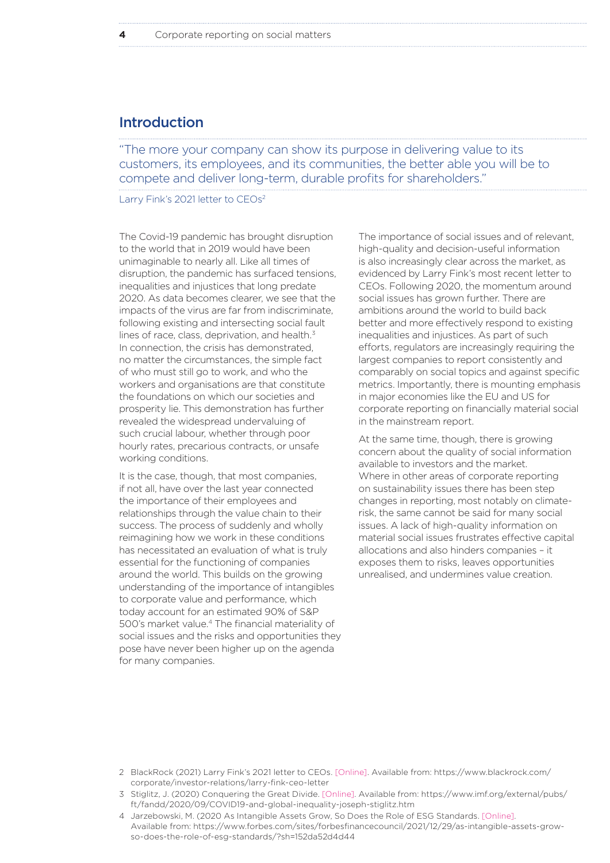# Introduction

"The more your company can show its purpose in delivering value to its customers, its employees, and its communities, the better able you will be to compete and deliver long-term, durable profits for shareholders."

Larry Fink's 2021 letter to CEOs<sup>2</sup>

The Covid-19 pandemic has brought disruption to the world that in 2019 would have been unimaginable to nearly all. Like all times of disruption, the pandemic has surfaced tensions, inequalities and injustices that long predate 2020. As data becomes clearer, we see that the impacts of the virus are far from indiscriminate, following existing and intersecting social fault lines of race, class, deprivation, and health.<sup>3</sup> In connection, the crisis has demonstrated, no matter the circumstances, the simple fact of who must still go to work, and who the workers and organisations are that constitute the foundations on which our societies and prosperity lie. This demonstration has further revealed the widespread undervaluing of such crucial labour, whether through poor hourly rates, precarious contracts, or unsafe working conditions.

It is the case, though, that most companies, if not all, have over the last year connected the importance of their employees and relationships through the value chain to their success. The process of suddenly and wholly reimagining how we work in these conditions has necessitated an evaluation of what is truly essential for the functioning of companies around the world. This builds on the growing understanding of the importance of intangibles to corporate value and performance, which today account for an estimated 90% of S&P 500's market value.4 The financial materiality of social issues and the risks and opportunities they pose have never been higher up on the agenda for many companies.

The importance of social issues and of relevant, high-quality and decision-useful information is also increasingly clear across the market, as evidenced by Larry Fink's most recent letter to CEOs. Following 2020, the momentum around social issues has grown further. There are ambitions around the world to build back better and more effectively respond to existing inequalities and injustices. As part of such efforts, regulators are increasingly requiring the largest companies to report consistently and comparably on social topics and against specific metrics. Importantly, there is mounting emphasis in major economies like the EU and US for corporate reporting on financially material social in the mainstream report.

At the same time, though, there is growing concern about the quality of social information available to investors and the market. Where in other areas of corporate reporting on sustainability issues there has been step changes in reporting, most notably on climaterisk, the same cannot be said for many social issues. A lack of high-quality information on material social issues frustrates effective capital allocations and also hinders companies – it exposes them to risks, leaves opportunities unrealised, and undermines value creation.

- 2 BlackRock (2021) Larry Fink's 2021 letter to CEOs. [Online]. Available from: https://www.blackrock.com/ corporate/investor-relations/larry-fink-ceo-letter
- 3 Stiglitz, J. (2020) Conquering the Great Divide. [Online]. Available from: https://www.imf.org/external/pubs/ ft/fandd/2020/09/COVID19-and-global-inequality-joseph-stiglitz.htm
- 4 Jarzebowski, M. (2020 As Intangible Assets Grow, So Does the Role of ESG Standards. [Online]. Available from: https://www.forbes.com/sites/forbesfinancecouncil/2021/12/29/as-intangible-assets-growso-does-the-role-of-esg-standards/?sh=152da52d4d44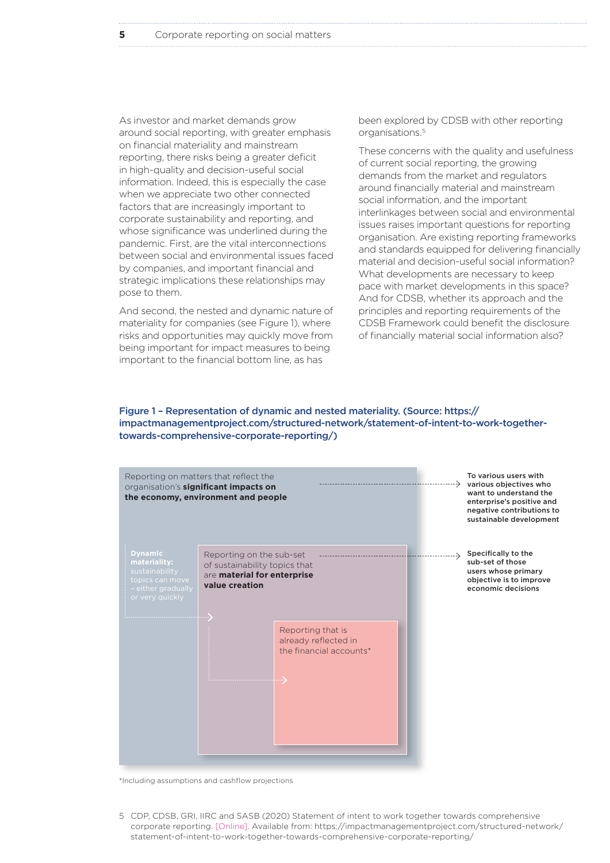As investor and market demands grow around social reporting, with greater emphasis on financial materiality and mainstream reporting, there risks being a greater deficit in high-quality and decision-useful social information. Indeed, this is especially the case when we appreciate two other connected factors that are increasingly important to corporate sustainability and reporting, and whose significance was underlined during the pandemic. First, are the vital interconnections between social and environmental issues faced by companies, and important financial and strategic implications these relationships may pose to them.

And second, the nested and dynamic nature of materiality for companies (see Figure 1), where risks and opportunities may quickly move from being important for impact measures to being important to the financial bottom line, as has

been explored by CDSB with other reporting organisations.5

These concerns with the quality and usefulness of current social reporting, the growing demands from the market and regulators around financially material and mainstream social information, and the important interlinkages between social and environmental issues raises important questions for reporting organisation. Are existing reporting frameworks and standards equipped for delivering financially material and decision-useful social information? What developments are necessary to keep pace with market developments in this space? And for CDSB, whether its approach and the principles and reporting requirements of the CDSB Framework could benefit the disclosure of financially material social information also?

#### Figure 1 – Representation of dynamic and nested materiality. (Source: https:// impactmanagementproject.com/structured-network/statement-of-intent-to-work-togethertowards-comprehensive-corporate-reporting/)



\*Including assumptions and cashflow projections

5 CDP, CDSB, GRI, IIRC and SASB (2020) Statement of intent to work together towards comprehensive corporate reporting. [Online]. Available from: https://impactmanagementproject.com/structured-network/ statement-of-intent-to-work-together-towards-comprehensive-corporate-reporting/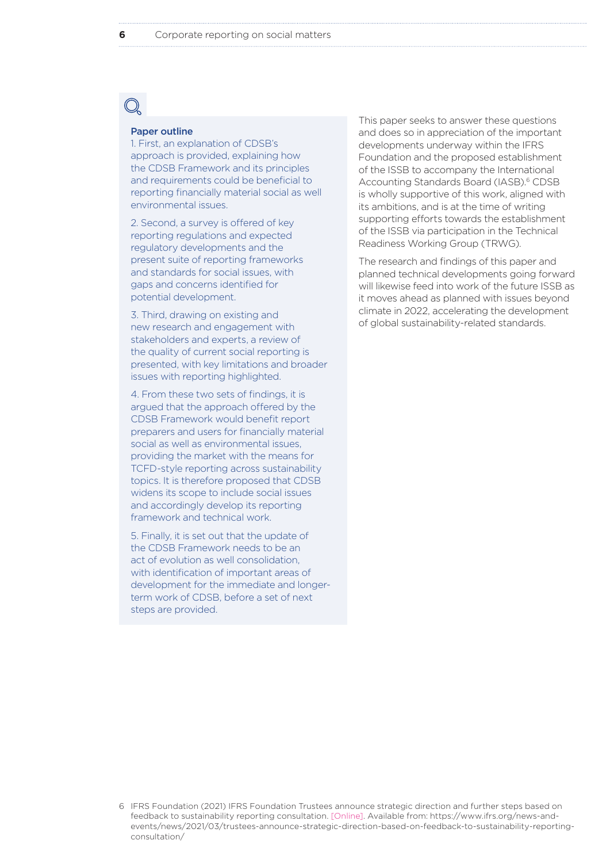#### Paper outline

1. First, an explanation of CDSB's approach is provided, explaining how the CDSB Framework and its principles and requirements could be beneficial to reporting financially material social as well environmental issues.

2. Second, a survey is offered of key reporting regulations and expected regulatory developments and the present suite of reporting frameworks and standards for social issues, with gaps and concerns identified for potential development.

3. Third, drawing on existing and new research and engagement with stakeholders and experts, a review of the quality of current social reporting is presented, with key limitations and broader issues with reporting highlighted.

4. From these two sets of findings, it is argued that the approach offered by the CDSB Framework would benefit report preparers and users for financially material social as well as environmental issues, providing the market with the means for TCFD-style reporting across sustainability topics. It is therefore proposed that CDSB widens its scope to include social issues and accordingly develop its reporting framework and technical work.

5. Finally, it is set out that the update of the CDSB Framework needs to be an act of evolution as well consolidation, with identification of important areas of development for the immediate and longerterm work of CDSB, before a set of next steps are provided.

This paper seeks to answer these questions and does so in appreciation of the important developments underway within the IFRS Foundation and the proposed establishment of the ISSB to accompany the International Accounting Standards Board (IASB).<sup>6</sup> CDSB is wholly supportive of this work, aligned with its ambitions, and is at the time of writing supporting efforts towards the establishment of the ISSB via participation in the Technical Readiness Working Group (TRWG).

The research and findings of this paper and planned technical developments going forward will likewise feed into work of the future ISSB as it moves ahead as planned with issues beyond climate in 2022, accelerating the development of global sustainability-related standards.

<sup>6</sup> IFRS Foundation (2021) IFRS Foundation Trustees announce strategic direction and further steps based on feedback to sustainability reporting consultation. [Online]. Available from: https://www.ifrs.org/news-andevents/news/2021/03/trustees-announce-strategic-direction-based-on-feedback-to-sustainability-reportingconsultation/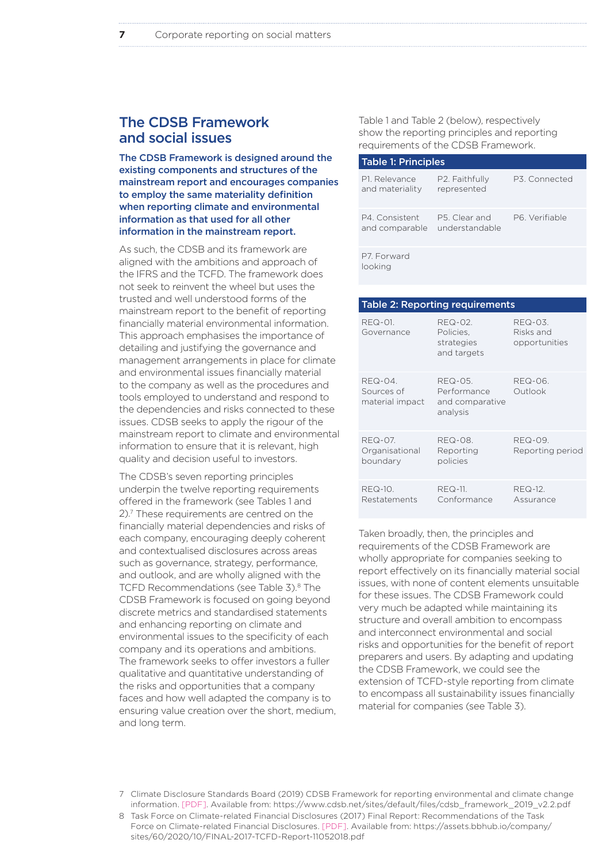# The CDSB Framework and social issues

The CDSB Framework is designed around the existing components and structures of the mainstream report and encourages companies to employ the same materiality definition when reporting climate and environmental information as that used for all other information in the mainstream report.

As such, the CDSB and its framework are aligned with the ambitions and approach of the IFRS and the TCFD. The framework does not seek to reinvent the wheel but uses the trusted and well understood forms of the mainstream report to the benefit of reporting financially material environmental information. This approach emphasises the importance of detailing and justifying the governance and management arrangements in place for climate and environmental issues financially material to the company as well as the procedures and tools employed to understand and respond to the dependencies and risks connected to these issues. CDSB seeks to apply the rigour of the mainstream report to climate and environmental information to ensure that it is relevant, high quality and decision useful to investors.

The CDSB's seven reporting principles underpin the twelve reporting requirements offered in the framework (see Tables 1 and 2).7 These requirements are centred on the financially material dependencies and risks of each company, encouraging deeply coherent and contextualised disclosures across areas such as governance, strategy, performance, and outlook, and are wholly aligned with the TCFD Recommendations (see Table 3).<sup>8</sup> The CDSB Framework is focused on going beyond discrete metrics and standardised statements and enhancing reporting on climate and environmental issues to the specificity of each company and its operations and ambitions. The framework seeks to offer investors a fuller qualitative and quantitative understanding of the risks and opportunities that a company faces and how well adapted the company is to ensuring value creation over the short, medium, and long term.

Table 1 and Table 2 (below), respectively show the reporting principles and reporting requirements of the CDSB Framework.

| <b>Table 1: Principles</b>       |                                 |               |
|----------------------------------|---------------------------------|---------------|
| P1. Relevance<br>and materiality | P2. Faithfully<br>represented   | P3. Connected |
| P4 Consistent<br>and comparable  | P5. Clear and<br>understandable | P6 Verifiable |
| P7. Forward<br>سمناءها           |                                 |               |

looking

|                                              | <b>Table 2: Reporting requirements</b>                |                                       |
|----------------------------------------------|-------------------------------------------------------|---------------------------------------|
| REQ-01.<br>Governance                        | REQ-02.<br>Policies,<br>strategies<br>and targets     | REQ-03.<br>Risks and<br>opportunities |
| REQ-04.<br>Sources of<br>material impact     | REQ-05.<br>Performance<br>and comparative<br>analysis | REQ-06.<br>Outlook                    |
| <b>REQ-07.</b><br>Organisational<br>boundary | REQ-08.<br>Reporting<br>policies                      | REQ-09.<br>Reporting period           |
| <b>REQ-10.</b><br>Restatements               | <b>REQ-11.</b><br>Conformance                         | REQ-12.<br>Assurance                  |

Taken broadly, then, the principles and requirements of the CDSB Framework are wholly appropriate for companies seeking to report effectively on its financially material social issues, with none of content elements unsuitable for these issues. The CDSB Framework could very much be adapted while maintaining its structure and overall ambition to encompass and interconnect environmental and social risks and opportunities for the benefit of report preparers and users. By adapting and updating the CDSB Framework, we could see the extension of TCFD-style reporting from climate to encompass all sustainability issues financially material for companies (see Table 3).

8 Task Force on Climate-related Financial Disclosures (2017) Final Report: Recommendations of the Task Force on Climate-related Financial Disclosures. [PDF]. Available from: https://assets.bbhub.io/company/ sites/60/2020/10/FINAL-2017-TCFD-Report-11052018.pdf

<sup>7</sup> Climate Disclosure Standards Board (2019) CDSB Framework for reporting environmental and climate change information. [PDF]. Available from: https://www.cdsb.net/sites/default/files/cdsb\_framework\_2019\_v2.2.pdf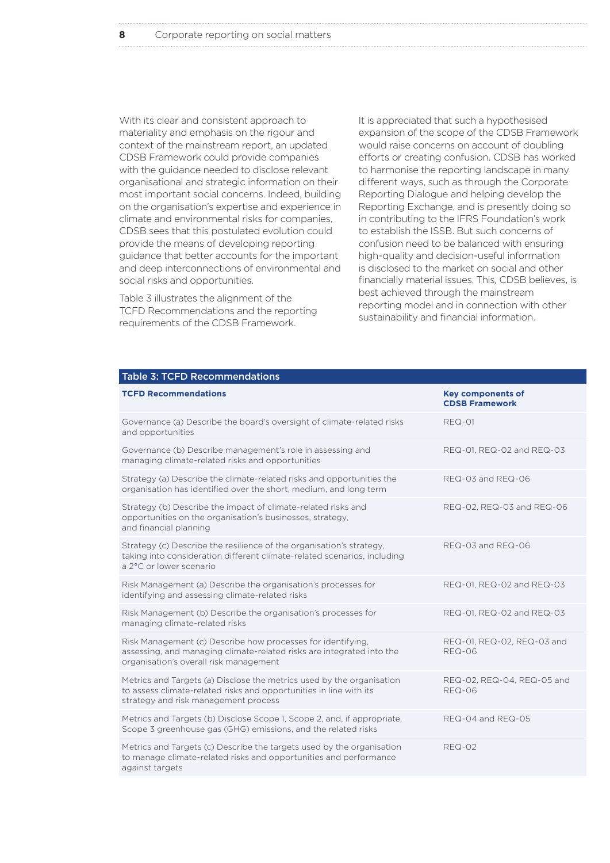With its clear and consistent approach to materiality and emphasis on the rigour and context of the mainstream report, an updated CDSB Framework could provide companies with the guidance needed to disclose relevant organisational and strategic information on their most important social concerns. Indeed, building on the organisation's expertise and experience in climate and environmental risks for companies, CDSB sees that this postulated evolution could provide the means of developing reporting guidance that better accounts for the important and deep interconnections of environmental and social risks and opportunities.

Table 3 illustrates the alignment of the TCFD Recommendations and the reporting requirements of the CDSB Framework.

It is appreciated that such a hypothesised expansion of the scope of the CDSB Framework would raise concerns on account of doubling efforts or creating confusion. CDSB has worked to harmonise the reporting landscape in many different ways, such as through the Corporate Reporting Dialogue and helping develop the Reporting Exchange, and is presently doing so in contributing to the IFRS Foundation's work to establish the ISSB. But such concerns of confusion need to be balanced with ensuring high-quality and decision-useful information is disclosed to the market on social and other financially material issues. This, CDSB believes, is best achieved through the mainstream reporting model and in connection with other sustainability and financial information.

| <b>Table 3: TCFD Recommendations</b>                                                                                                                                                |                                                   |
|-------------------------------------------------------------------------------------------------------------------------------------------------------------------------------------|---------------------------------------------------|
| <b>TCFD Recommendations</b>                                                                                                                                                         | <b>Key components of</b><br><b>CDSB Framework</b> |
| Governance (a) Describe the board's oversight of climate-related risks<br>and opportunities                                                                                         | <b>REQ-01</b>                                     |
| Governance (b) Describe management's role in assessing and<br>managing climate-related risks and opportunities                                                                      | REQ-01, REQ-02 and REQ-03                         |
| Strategy (a) Describe the climate-related risks and opportunities the<br>organisation has identified over the short, medium, and long term                                          | REQ-03 and REQ-06                                 |
| Strategy (b) Describe the impact of climate-related risks and<br>opportunities on the organisation's businesses, strategy,<br>and financial planning                                | REQ-02, REQ-03 and REQ-06                         |
| Strategy (c) Describe the resilience of the organisation's strategy,<br>taking into consideration different climate-related scenarios, including<br>a 2°C or lower scenario         | REQ-03 and REQ-06                                 |
| Risk Management (a) Describe the organisation's processes for<br>identifying and assessing climate-related risks                                                                    | REQ-01, REQ-02 and REQ-03                         |
| Risk Management (b) Describe the organisation's processes for<br>managing climate-related risks                                                                                     | REQ-01, REQ-02 and REQ-03                         |
| Risk Management (c) Describe how processes for identifying,<br>assessing, and managing climate-related risks are integrated into the<br>organisation's overall risk management      | REQ-01, REQ-02, REQ-03 and<br>$RFO-06$            |
| Metrics and Targets (a) Disclose the metrics used by the organisation<br>to assess climate-related risks and opportunities in line with its<br>strategy and risk management process | REQ-02, REQ-04, REQ-05 and<br><b>REQ-06</b>       |
| Metrics and Targets (b) Disclose Scope 1, Scope 2, and, if appropriate,<br>Scope 3 greenhouse gas (GHG) emissions, and the related risks                                            | REQ-04 and REQ-05                                 |
| Metrics and Targets (c) Describe the targets used by the organisation<br>to manage climate-related risks and opportunities and performance<br>against targets                       | <b>REQ-02</b>                                     |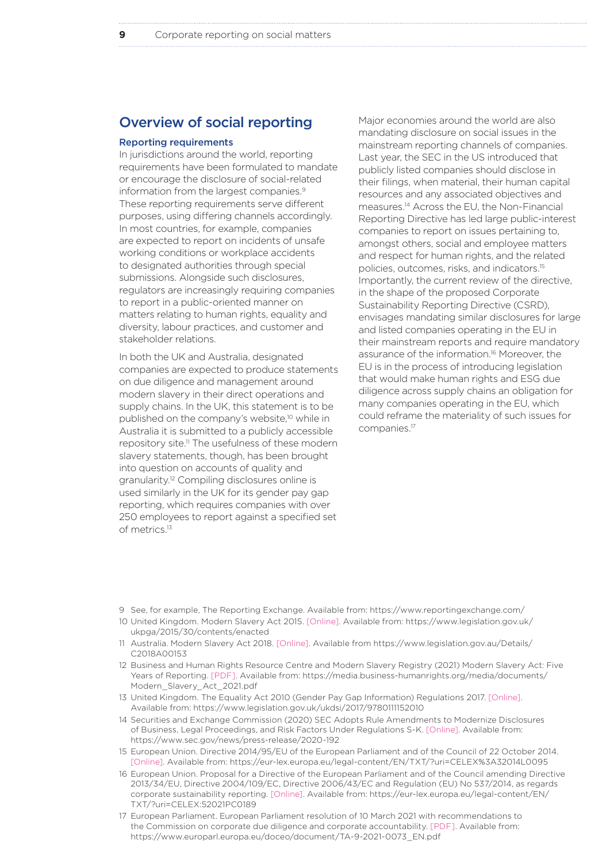# Overview of social reporting

#### Reporting requirements

In jurisdictions around the world, reporting requirements have been formulated to mandate or encourage the disclosure of social-related information from the largest companies.<sup>9</sup> These reporting requirements serve different purposes, using differing channels accordingly. In most countries, for example, companies are expected to report on incidents of unsafe working conditions or workplace accidents to designated authorities through special submissions. Alongside such disclosures, regulators are increasingly requiring companies to report in a public-oriented manner on matters relating to human rights, equality and diversity, labour practices, and customer and stakeholder relations.

In both the UK and Australia, designated companies are expected to produce statements on due diligence and management around modern slavery in their direct operations and supply chains. In the UK, this statement is to be published on the company's website,<sup>10</sup> while in Australia it is submitted to a publicly accessible repository site.11 The usefulness of these modern slavery statements, though, has been brought into question on accounts of quality and granularity.12 Compiling disclosures online is used similarly in the UK for its gender pay gap reporting, which requires companies with over 250 employees to report against a specified set of metrics.13

Major economies around the world are also mandating disclosure on social issues in the mainstream reporting channels of companies. Last year, the SEC in the US introduced that publicly listed companies should disclose in their filings, when material, their human capital resources and any associated objectives and measures.14 Across the EU, the Non-Financial Reporting Directive has led large public-interest companies to report on issues pertaining to, amongst others, social and employee matters and respect for human rights, and the related policies, outcomes, risks, and indicators.15 Importantly, the current review of the directive, in the shape of the proposed Corporate Sustainability Reporting Directive (CSRD), envisages mandating similar disclosures for large and listed companies operating in the EU in their mainstream reports and require mandatory assurance of the information.16 Moreover, the EU is in the process of introducing legislation that would make human rights and ESG due diligence across supply chains an obligation for many companies operating in the EU, which could reframe the materiality of such issues for companies.17

- 9 See, for example, The Reporting Exchange. Available from: https://www.reportingexchange.com/
- 10 United Kingdom. Modern Slavery Act 2015. [Online]. Available from: https://www.legislation.gov.uk/ ukpga/2015/30/contents/enacted
- 11 Australia. Modern Slavery Act 2018. [Online]. Available from https://www.legislation.gov.au/Details/ C2018A00153
- 12 Business and Human Rights Resource Centre and Modern Slavery Registry (2021) Modern Slavery Act: Five Years of Reporting. [PDF]. Available from: https://media.business-humanrights.org/media/documents/ Modern\_Slavery\_Act\_2021.pdf
- 13 United Kingdom. The Equality Act 2010 (Gender Pay Gap Information) Regulations 2017. [Online]. Available from: https://www.legislation.gov.uk/ukdsi/2017/9780111152010
- 14 Securities and Exchange Commission (2020) SEC Adopts Rule Amendments to Modernize Disclosures of Business, Legal Proceedings, and Risk Factors Under Regulations S-K. [Online]. Available from: https://www.sec.gov/news/press-release/2020-192
- 15 European Union. Directive 2014/95/EU of the European Parliament and of the Council of 22 October 2014. [Online]. Available from: https://eur-lex.europa.eu/legal-content/EN/TXT/?uri=CELEX%3A32014L0095
- 16 European Union. Proposal for a Directive of the European Parliament and of the Council amending Directive 2013/34/EU, Directive 2004/109/EC, Directive 2006/43/EC and Regulation (EU) No 537/2014, as regards corporate sustainability reporting. [Online]. Available from: https://eur-lex.europa.eu/legal-content/EN/ TXT/?uri=CELEX:52021PC0189
- 17 European Parliament. European Parliament resolution of 10 March 2021 with recommendations to the Commission on corporate due diligence and corporate accountability. [PDF]. Available from: https://www.europarl.europa.eu/doceo/document/TA-9-2021-0073\_EN.pdf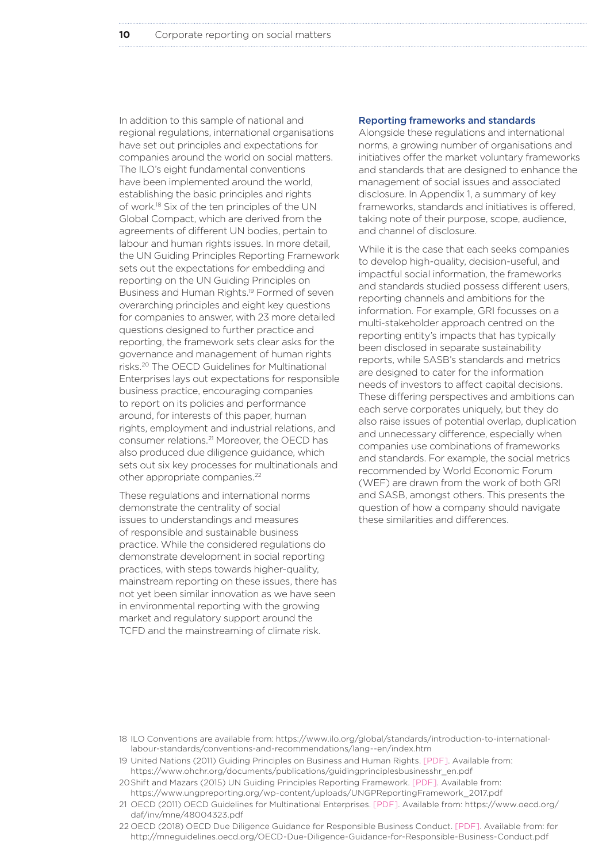In addition to this sample of national and regional regulations, international organisations have set out principles and expectations for companies around the world on social matters. The ILO's eight fundamental conventions have been implemented around the world, establishing the basic principles and rights of work.18 Six of the ten principles of the UN Global Compact, which are derived from the agreements of different UN bodies, pertain to labour and human rights issues. In more detail, the UN Guiding Principles Reporting Framework sets out the expectations for embedding and reporting on the UN Guiding Principles on Business and Human Rights.19 Formed of seven overarching principles and eight key questions for companies to answer, with 23 more detailed questions designed to further practice and reporting, the framework sets clear asks for the governance and management of human rights risks.20 The OECD Guidelines for Multinational Enterprises lays out expectations for responsible business practice, encouraging companies to report on its policies and performance around, for interests of this paper, human rights, employment and industrial relations, and consumer relations.21 Moreover, the OECD has also produced due diligence guidance, which sets out six key processes for multinationals and other appropriate companies.<sup>22</sup>

These regulations and international norms demonstrate the centrality of social issues to understandings and measures of responsible and sustainable business practice. While the considered regulations do demonstrate development in social reporting practices, with steps towards higher-quality, mainstream reporting on these issues, there has not yet been similar innovation as we have seen in environmental reporting with the growing market and regulatory support around the TCFD and the mainstreaming of climate risk.

#### Reporting frameworks and standards

Alongside these regulations and international norms, a growing number of organisations and initiatives offer the market voluntary frameworks and standards that are designed to enhance the management of social issues and associated disclosure. In Appendix 1, a summary of key frameworks, standards and initiatives is offered, taking note of their purpose, scope, audience, and channel of disclosure.

While it is the case that each seeks companies to develop high-quality, decision-useful, and impactful social information, the frameworks and standards studied possess different users, reporting channels and ambitions for the information. For example, GRI focusses on a multi-stakeholder approach centred on the reporting entity's impacts that has typically been disclosed in separate sustainability reports, while SASB's standards and metrics are designed to cater for the information needs of investors to affect capital decisions. These differing perspectives and ambitions can each serve corporates uniquely, but they do also raise issues of potential overlap, duplication and unnecessary difference, especially when companies use combinations of frameworks and standards. For example, the social metrics recommended by World Economic Forum (WEF) are drawn from the work of both GRI and SASB, amongst others. This presents the question of how a company should navigate these similarities and differences.

<sup>18</sup> ILO Conventions are available from: https://www.ilo.org/global/standards/introduction-to-internationallabour-standards/conventions-and-recommendations/lang--en/index.htm

<sup>19</sup> United Nations (2011) Guiding Principles on Business and Human Rights. [PDF]. Available from: https://www.ohchr.org/documents/publications/guidingprinciplesbusinesshr\_en.pdf

<sup>20</sup>Shift and Mazars (2015) UN Guiding Principles Reporting Framework. [PDF]. Available from: https://www.ungpreporting.org/wp-content/uploads/UNGPReportingFramework\_2017.pdf

<sup>21</sup> OECD (2011) OECD Guidelines for Multinational Enterprises. [PDF]. Available from: https://www.oecd.org/ daf/inv/mne/48004323.pdf

<sup>22</sup> OECD (2018) OECD Due Diligence Guidance for Responsible Business Conduct. [PDF]. Available from: for http://mneguidelines.oecd.org/OECD-Due-Diligence-Guidance-for-Responsible-Business-Conduct.pdf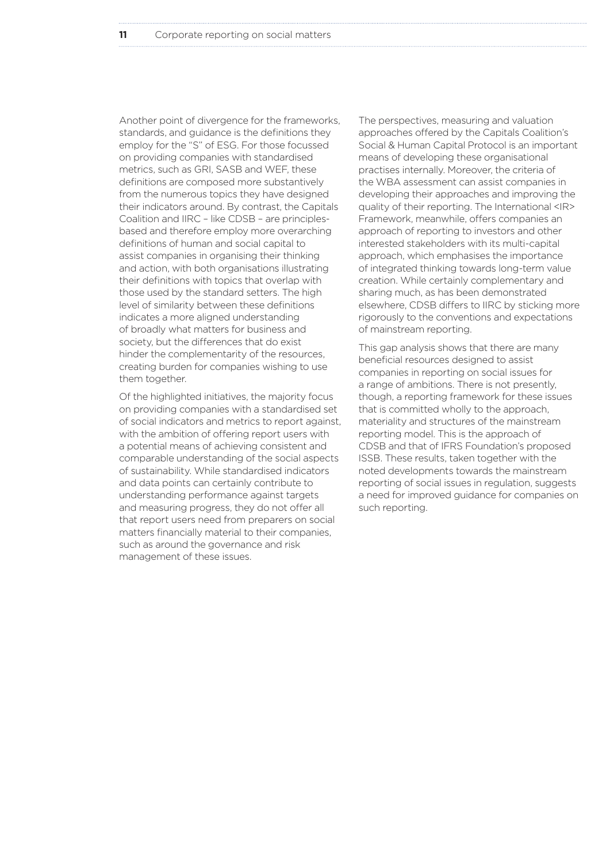Another point of divergence for the frameworks, standards, and guidance is the definitions they employ for the "S" of ESG. For those focussed on providing companies with standardised metrics, such as GRI, SASB and WEF, these definitions are composed more substantively from the numerous topics they have designed their indicators around. By contrast, the Capitals Coalition and IIRC – like CDSB – are principlesbased and therefore employ more overarching definitions of human and social capital to assist companies in organising their thinking and action, with both organisations illustrating their definitions with topics that overlap with those used by the standard setters. The high level of similarity between these definitions indicates a more aligned understanding of broadly what matters for business and society, but the differences that do exist hinder the complementarity of the resources, creating burden for companies wishing to use them together.

Of the highlighted initiatives, the majority focus on providing companies with a standardised set of social indicators and metrics to report against, with the ambition of offering report users with a potential means of achieving consistent and comparable understanding of the social aspects of sustainability. While standardised indicators and data points can certainly contribute to understanding performance against targets and measuring progress, they do not offer all that report users need from preparers on social matters financially material to their companies, such as around the governance and risk management of these issues.

The perspectives, measuring and valuation approaches offered by the Capitals Coalition's Social & Human Capital Protocol is an important means of developing these organisational practises internally. Moreover, the criteria of the WBA assessment can assist companies in developing their approaches and improving the quality of their reporting. The International <IR> Framework, meanwhile, offers companies an approach of reporting to investors and other interested stakeholders with its multi-capital approach, which emphasises the importance of integrated thinking towards long-term value creation. While certainly complementary and sharing much, as has been demonstrated elsewhere, CDSB differs to IIRC by sticking more rigorously to the conventions and expectations of mainstream reporting.

This gap analysis shows that there are many beneficial resources designed to assist companies in reporting on social issues for a range of ambitions. There is not presently, though, a reporting framework for these issues that is committed wholly to the approach, materiality and structures of the mainstream reporting model. This is the approach of CDSB and that of IFRS Foundation's proposed ISSB. These results, taken together with the noted developments towards the mainstream reporting of social issues in regulation, suggests a need for improved guidance for companies on such reporting.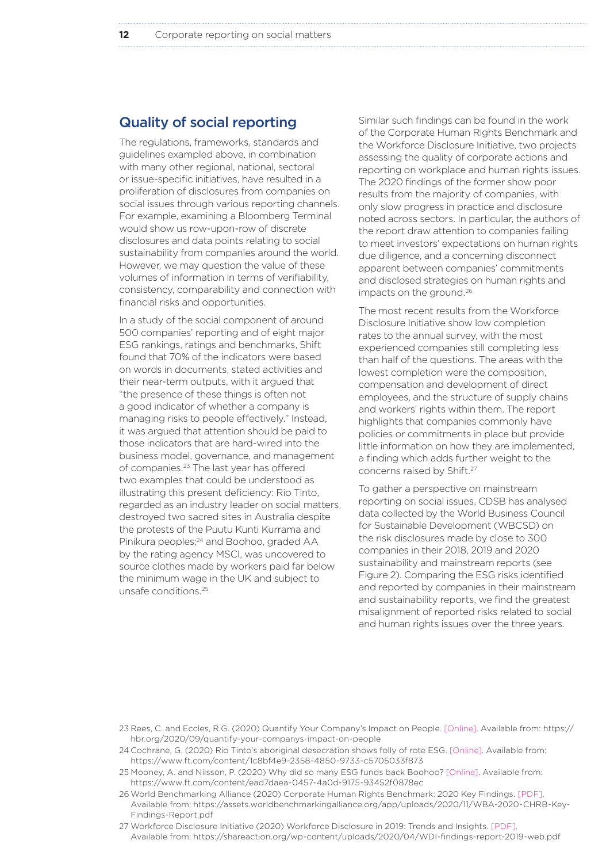# Quality of social reporting

The regulations, frameworks, standards and guidelines exampled above, in combination with many other regional, national, sectoral or issue-specific initiatives, have resulted in a proliferation of disclosures from companies on social issues through various reporting channels. For example, examining a Bloomberg Terminal would show us row-upon-row of discrete disclosures and data points relating to social sustainability from companies around the world. However, we may question the value of these volumes of information in terms of verifiability, consistency, comparability and connection with financial risks and opportunities.

In a study of the social component of around 500 companies' reporting and of eight major ESG rankings, ratings and benchmarks, Shift found that 70% of the indicators were based on words in documents, stated activities and their near-term outputs, with it argued that "the presence of these things is often not a good indicator of whether a company is managing risks to people effectively." Instead, it was argued that attention should be paid to those indicators that are hard-wired into the business model, governance, and management of companies.23 The last year has offered two examples that could be understood as illustrating this present deficiency: Rio Tinto, regarded as an industry leader on social matters, destroyed two sacred sites in Australia despite the protests of the Puutu Kunti Kurrama and Pinikura peoples;<sup>24</sup> and Boohoo, graded AA by the rating agency MSCI, was uncovered to source clothes made by workers paid far below the minimum wage in the UK and subject to unsafe conditions.25

Similar such findings can be found in the work of the Corporate Human Rights Benchmark and the Workforce Disclosure Initiative, two projects assessing the quality of corporate actions and reporting on workplace and human rights issues. The 2020 findings of the former show poor results from the majority of companies, with only slow progress in practice and disclosure noted across sectors. In particular, the authors of the report draw attention to companies failing to meet investors' expectations on human rights due diligence, and a concerning disconnect apparent between companies' commitments and disclosed strategies on human rights and impacts on the ground.26

The most recent results from the Workforce Disclosure Initiative show low completion rates to the annual survey, with the most experienced companies still completing less than half of the questions. The areas with the lowest completion were the composition, compensation and development of direct employees, and the structure of supply chains and workers' rights within them. The report highlights that companies commonly have policies or commitments in place but provide little information on how they are implemented, a finding which adds further weight to the concerns raised by Shift.<sup>27</sup>

To gather a perspective on mainstream reporting on social issues, CDSB has analysed data collected by the World Business Council for Sustainable Development (WBCSD) on the risk disclosures made by close to 300 companies in their 2018, 2019 and 2020 sustainability and mainstream reports (see Figure 2). Comparing the ESG risks identified and reported by companies in their mainstream and sustainability reports, we find the greatest misalignment of reported risks related to social and human rights issues over the three years.

23 Rees, C. and Eccles, R.G. (2020) Quantify Your Company's Impact on People. [Online]. Available from: https:// hbr.org/2020/09/quantify-your-companys-impact-on-people

- 24 Cochrane, G. (2020) Rio Tinto's aboriginal desecration shows folly of rote ESG. [Online]. Available from: https://www.ft.com/content/1c8bf4e9-2358-4850-9733-c5705033f873
- 25 Mooney, A. and Nilsson, P. (2020) Why did so many ESG funds back Boohoo? [Online]. Available from: https://www.ft.com/content/ead7daea-0457-4a0d-9175-93452f0878ec
- 26World Benchmarking Alliance (2020) Corporate Human Rights Benchmark: 2020 Key Findings. [PDF]. Available from: https://assets.worldbenchmarkingalliance.org/app/uploads/2020/11/WBA-2020-CHRB-Key-Findings-Report.pdf
- 27 Workforce Disclosure Initiative (2020) Workforce Disclosure in 2019: Trends and Insights. [PDF]. Available from: https://shareaction.org/wp-content/uploads/2020/04/WDI-findings-report-2019-web.pdf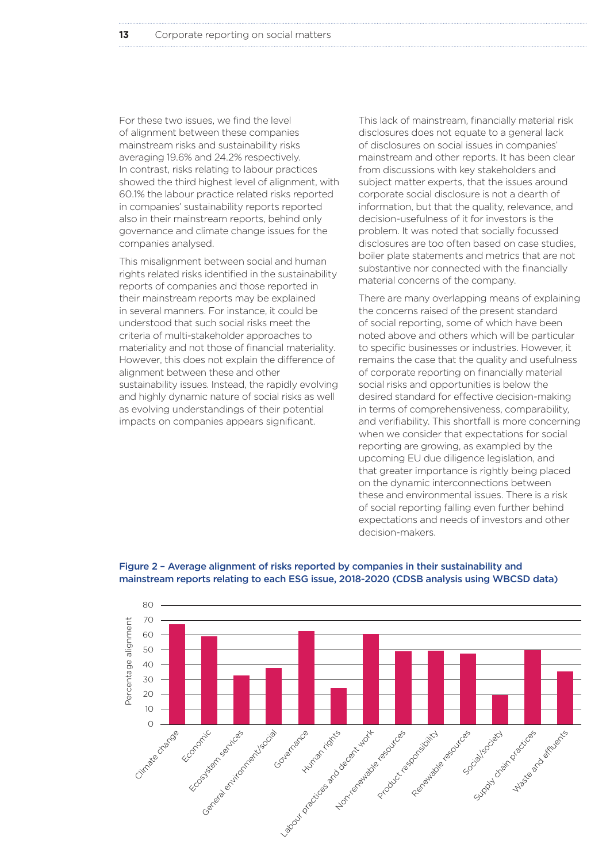For these two issues, we find the level of alignment between these companies mainstream risks and sustainability risks averaging 19.6% and 24.2% respectively. In contrast, risks relating to labour practices showed the third highest level of alignment, with 60.1% the labour practice related risks reported in companies' sustainability reports reported also in their mainstream reports, behind only governance and climate change issues for the companies analysed.

This misalignment between social and human rights related risks identified in the sustainability reports of companies and those reported in their mainstream reports may be explained in several manners. For instance, it could be understood that such social risks meet the criteria of multi-stakeholder approaches to materiality and not those of financial materiality. However, this does not explain the difference of alignment between these and other sustainability issues. Instead, the rapidly evolving and highly dynamic nature of social risks as well as evolving understandings of their potential impacts on companies appears significant.

This lack of mainstream, financially material risk disclosures does not equate to a general lack of disclosures on social issues in companies' mainstream and other reports. It has been clear from discussions with key stakeholders and subject matter experts, that the issues around corporate social disclosure is not a dearth of information, but that the quality, relevance, and decision-usefulness of it for investors is the problem. It was noted that socially focussed disclosures are too often based on case studies, boiler plate statements and metrics that are not substantive nor connected with the financially material concerns of the company.

There are many overlapping means of explaining the concerns raised of the present standard of social reporting, some of which have been noted above and others which will be particular to specific businesses or industries. However, it remains the case that the quality and usefulness of corporate reporting on financially material social risks and opportunities is below the desired standard for effective decision-making in terms of comprehensiveness, comparability, and verifiability. This shortfall is more concerning when we consider that expectations for social reporting are growing, as exampled by the upcoming EU due diligence legislation, and that greater importance is rightly being placed on the dynamic interconnections between these and environmental issues. There is a risk of social reporting falling even further behind expectations and needs of investors and other decision-makers.



#### Figure 2 – Average alignment of risks reported by companies in their sustainability and mainstream reports relating to each ESG issue, 2018-2020 (CDSB analysis using WBCSD data)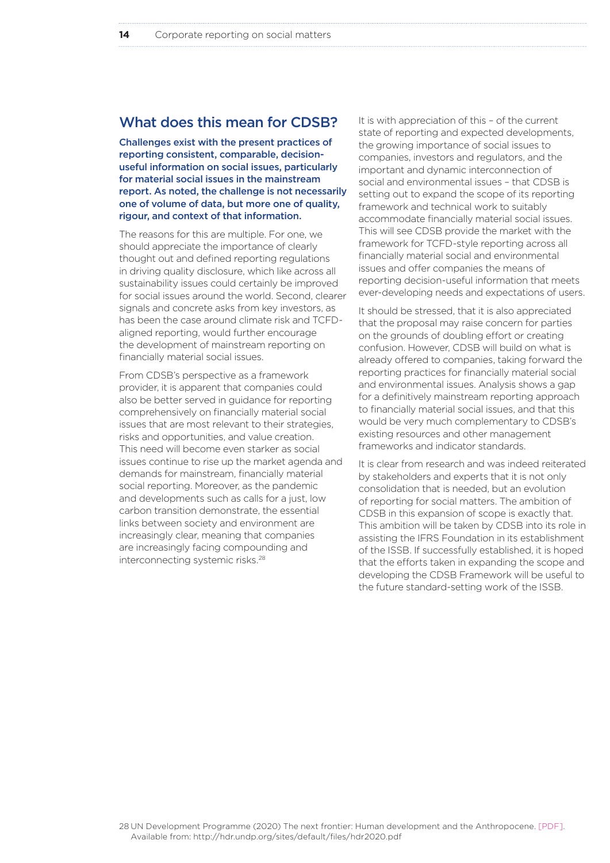# What does this mean for CDSB?

Challenges exist with the present practices of reporting consistent, comparable, decisionuseful information on social issues, particularly for material social issues in the mainstream report. As noted, the challenge is not necessarily one of volume of data, but more one of quality, rigour, and context of that information.

The reasons for this are multiple. For one, we should appreciate the importance of clearly thought out and defined reporting regulations in driving quality disclosure, which like across all sustainability issues could certainly be improved for social issues around the world. Second, clearer signals and concrete asks from key investors, as has been the case around climate risk and TCFDaligned reporting, would further encourage the development of mainstream reporting on financially material social issues.

From CDSB's perspective as a framework provider, it is apparent that companies could also be better served in guidance for reporting comprehensively on financially material social issues that are most relevant to their strategies, risks and opportunities, and value creation. This need will become even starker as social issues continue to rise up the market agenda and demands for mainstream, financially material social reporting. Moreover, as the pandemic and developments such as calls for a just, low carbon transition demonstrate, the essential links between society and environment are increasingly clear, meaning that companies are increasingly facing compounding and interconnecting systemic risks.28

It is with appreciation of this – of the current state of reporting and expected developments, the growing importance of social issues to companies, investors and regulators, and the important and dynamic interconnection of social and environmental issues – that CDSB is setting out to expand the scope of its reporting framework and technical work to suitably accommodate financially material social issues. This will see CDSB provide the market with the framework for TCFD-style reporting across all financially material social and environmental issues and offer companies the means of reporting decision-useful information that meets ever-developing needs and expectations of users.

It should be stressed, that it is also appreciated that the proposal may raise concern for parties on the grounds of doubling effort or creating confusion. However, CDSB will build on what is already offered to companies, taking forward the reporting practices for financially material social and environmental issues. Analysis shows a gap for a definitively mainstream reporting approach to financially material social issues, and that this would be very much complementary to CDSB's existing resources and other management frameworks and indicator standards.

It is clear from research and was indeed reiterated by stakeholders and experts that it is not only consolidation that is needed, but an evolution of reporting for social matters. The ambition of CDSB in this expansion of scope is exactly that. This ambition will be taken by CDSB into its role in assisting the IFRS Foundation in its establishment of the ISSB. If successfully established, it is hoped that the efforts taken in expanding the scope and developing the CDSB Framework will be useful to the future standard-setting work of the ISSB.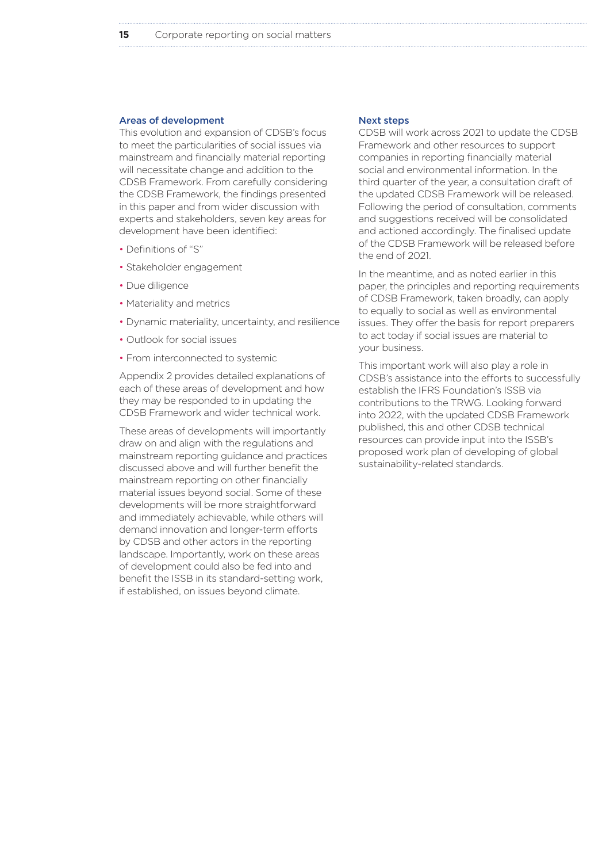#### Areas of development

This evolution and expansion of CDSB's focus to meet the particularities of social issues via mainstream and financially material reporting will necessitate change and addition to the CDSB Framework. From carefully considering the CDSB Framework, the findings presented in this paper and from wider discussion with experts and stakeholders, seven key areas for development have been identified:

- Definitions of "S"
- Stakeholder engagement
- Due diligence
- Materiality and metrics
- Dynamic materiality, uncertainty, and resilience
- Outlook for social issues
- From interconnected to systemic

Appendix 2 provides detailed explanations of each of these areas of development and how they may be responded to in updating the CDSB Framework and wider technical work.

These areas of developments will importantly draw on and align with the regulations and mainstream reporting guidance and practices discussed above and will further benefit the mainstream reporting on other financially material issues beyond social. Some of these developments will be more straightforward and immediately achievable, while others will demand innovation and longer-term efforts by CDSB and other actors in the reporting landscape. Importantly, work on these areas of development could also be fed into and benefit the ISSB in its standard-setting work, if established, on issues beyond climate.

#### Next steps

CDSB will work across 2021 to update the CDSB Framework and other resources to support companies in reporting financially material social and environmental information. In the third quarter of the year, a consultation draft of the updated CDSB Framework will be released. Following the period of consultation, comments and suggestions received will be consolidated and actioned accordingly. The finalised update of the CDSB Framework will be released before the end of 2021.

In the meantime, and as noted earlier in this paper, the principles and reporting requirements of CDSB Framework, taken broadly, can apply to equally to social as well as environmental issues. They offer the basis for report preparers to act today if social issues are material to your business.

This important work will also play a role in CDSB's assistance into the efforts to successfully establish the IFRS Foundation's ISSB via contributions to the TRWG. Looking forward into 2022, with the updated CDSB Framework published, this and other CDSB technical resources can provide input into the ISSB's proposed work plan of developing of global sustainability-related standards.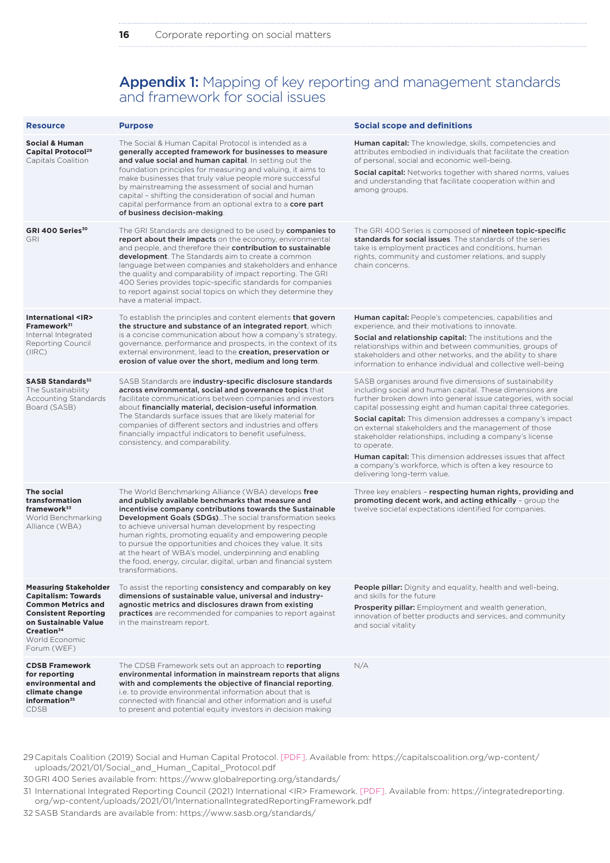# Appendix 1: Mapping of key reporting and management standards and framework for social issues

| <b>Resource</b>                                                                                                                                                                                           | <b>Purpose</b>                                                                                                                                                                                                                                                                                                                                                                                                                                                                                                                                                              | <b>Social scope and definitions</b>                                                                                                                                                                                                                                                                                                                                                                                                                                                                                                                                                                                           |
|-----------------------------------------------------------------------------------------------------------------------------------------------------------------------------------------------------------|-----------------------------------------------------------------------------------------------------------------------------------------------------------------------------------------------------------------------------------------------------------------------------------------------------------------------------------------------------------------------------------------------------------------------------------------------------------------------------------------------------------------------------------------------------------------------------|-------------------------------------------------------------------------------------------------------------------------------------------------------------------------------------------------------------------------------------------------------------------------------------------------------------------------------------------------------------------------------------------------------------------------------------------------------------------------------------------------------------------------------------------------------------------------------------------------------------------------------|
| <b>Social &amp; Human</b><br>Capital Protocol <sup>29</sup><br>Capitals Coalition                                                                                                                         | The Social & Human Capital Protocol is intended as a<br>generally accepted framework for businesses to measure<br>and value social and human capital. In setting out the<br>foundation principles for measuring and valuing, it aims to<br>make businesses that truly value people more successful<br>by mainstreaming the assessment of social and human<br>capital - shifting the consideration of social and human<br>capital performance from an optional extra to a core part<br>of business decision-making.                                                          | Human capital: The knowledge, skills, competencies and<br>attributes embodied in individuals that facilitate the creation<br>of personal, social and economic well-being.<br><b>Social capital:</b> Networks together with shared norms, values<br>and understanding that facilitate cooperation within and<br>among groups.                                                                                                                                                                                                                                                                                                  |
| GRI 400 Series <sup>30</sup><br>GRI                                                                                                                                                                       | The GRI Standards are designed to be used by <b>companies to</b><br>report about their impacts on the economy, environmental<br>and people, and therefore their contribution to sustainable<br><b>development</b> . The Standards aim to create a common<br>language between companies and stakeholders and enhance<br>the quality and comparability of impact reporting. The GRI<br>400 Series provides topic-specific standards for companies<br>to report against social topics on which they determine they<br>have a material impact.                                  | The GRI 400 Series is composed of nineteen topic-specific<br>standards for social issues. The standards of the series<br>take is employment practices and conditions, human<br>rights, community and customer relations, and supply<br>chain concerns.                                                                                                                                                                                                                                                                                                                                                                        |
| International <ir><br/>Framework<sup>31</sup><br/>Internal Integrated<br/><b>Reporting Council</b><br/>(IRC)</ir>                                                                                         | To establish the principles and content elements that govern<br>the structure and substance of an integrated report, which<br>is a concise communication about how a company's strategy,<br>governance, performance and prospects, in the context of its<br>external environment, lead to the creation, preservation or<br>erosion of value over the short, medium and long term.                                                                                                                                                                                           | <b>Human capital:</b> People's competencies, capabilities and<br>experience, and their motivations to innovate.<br>Social and relationship capital: The institutions and the<br>relationships within and between communities, groups of<br>stakeholders and other networks, and the ability to share<br>information to enhance individual and collective well-being                                                                                                                                                                                                                                                           |
| <b>SASB Standards</b> <sup>32</sup><br>The Sustainability<br>Accounting Standards<br>Board (SASB)                                                                                                         | SASB Standards are industry-specific disclosure standards<br>across environmental, social and governance topics that<br>facilitate communications between companies and investors<br>about financially material, decision-useful information.<br>The Standards surface issues that are likely material for<br>companies of different sectors and industries and offers<br>financially impactful indicators to benefit usefulness,<br>consistency, and comparability.                                                                                                        | SASB organises around five dimensions of sustainability<br>including social and human capital. These dimensions are<br>further broken down into general issue categories, with social<br>capital possessing eight and human capital three categories.<br><b>Social capital:</b> This dimension addresses a company's impact<br>on external stakeholders and the management of those<br>stakeholder relationships, including a company's license<br>to operate.<br><b>Human capital:</b> This dimension addresses issues that affect<br>a company's workforce, which is often a key resource to<br>delivering long-term value. |
| The social<br>transformation<br>framework <sup>33</sup><br>World Benchmarking<br>Alliance (WBA)                                                                                                           | The World Benchmarking Alliance (WBA) develops free<br>and publicly available benchmarks that measure and<br>incentivise company contributions towards the Sustainable<br><b>Development Goals (SDGs)</b> The social transformation seeks<br>to achieve universal human development by respecting<br>human rights, promoting equality and empowering people<br>to pursue the opportunities and choices they value. It sits<br>at the heart of WBA's model, underpinning and enabling<br>the food, energy, circular, digital, urban and financial system<br>transformations. | Three key enablers - respecting human rights, providing and<br>promoting decent work, and acting ethically - group the<br>twelve societal expectations identified for companies.                                                                                                                                                                                                                                                                                                                                                                                                                                              |
| <b>Measuring Stakeholder</b><br><b>Capitalism: Towards</b><br><b>Common Metrics and</b><br><b>Consistent Reporting</b><br>on Sustainable Value<br>Creation <sup>34</sup><br>World Economic<br>Forum (WEF) | To assist the reporting consistency and comparably on key<br>dimensions of sustainable value, universal and industry-<br>agnostic metrics and disclosures drawn from existing<br><b>practices</b> are recommended for companies to report against<br>in the mainstream report.                                                                                                                                                                                                                                                                                              | <b>People pillar:</b> Dignity and equality, health and well-being,<br>and skills for the future<br><b>Prosperity pillar:</b> Employment and wealth generation,<br>innovation of better products and services, and community<br>and social vitality                                                                                                                                                                                                                                                                                                                                                                            |
| <b>CDSB Framework</b><br>for reporting<br>environmental and<br>climate change<br>information <sup>35</sup><br><b>CDSB</b>                                                                                 | The CDSB Framework sets out an approach to reporting<br>environmental information in mainstream reports that aligns<br>with and complements the objective of financial reporting,<br>i.e. to provide environmental information about that is<br>connected with financial and other information and is useful<br>to present and potential equity investors in decision making                                                                                                                                                                                                | N/A                                                                                                                                                                                                                                                                                                                                                                                                                                                                                                                                                                                                                           |

29 Capitals Coalition (2019) Social and Human Capital Protocol. [PDF]. Available from: https://capitalscoalition.org/wp-content/ uploads/2021/01/Social\_and\_Human\_Capital\_Protocol.pdf

30GRI 400 Series available from: https://www.globalreporting.org/standards/

31 International Integrated Reporting Council (2021) International <IR> Framework. [PDF]. Available from: https://integratedreporting. org/wp-content/uploads/2021/01/InternationalIntegratedReportingFramework.pdf

32 SASB Standards are available from: https://www.sasb.org/standards/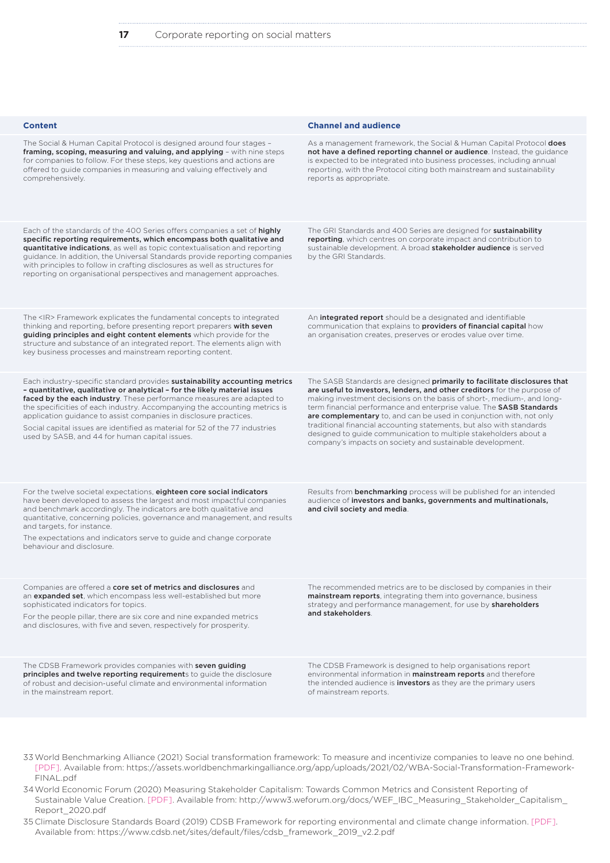| <b>Content</b>                                                                                                                                                                                                                                                                                                                                                                                                                                                                                                         | <b>Channel and audience</b>                                                                                                                                                                                                                                                                                                                                                                                                                                                                                                                                                           |
|------------------------------------------------------------------------------------------------------------------------------------------------------------------------------------------------------------------------------------------------------------------------------------------------------------------------------------------------------------------------------------------------------------------------------------------------------------------------------------------------------------------------|---------------------------------------------------------------------------------------------------------------------------------------------------------------------------------------------------------------------------------------------------------------------------------------------------------------------------------------------------------------------------------------------------------------------------------------------------------------------------------------------------------------------------------------------------------------------------------------|
| The Social & Human Capital Protocol is designed around four stages -<br>framing, scoping, measuring and valuing, and applying - with nine steps<br>for companies to follow. For these steps, key questions and actions are<br>offered to guide companies in measuring and valuing effectively and<br>comprehensively.                                                                                                                                                                                                  | As a management framework, the Social & Human Capital Protocol <b>does</b><br>not have a defined reporting channel or audience. Instead, the guidance<br>is expected to be integrated into business processes, including annual<br>reporting, with the Protocol citing both mainstream and sustainability<br>reports as appropriate.                                                                                                                                                                                                                                                  |
| Each of the standards of the 400 Series offers companies a set of highly<br>specific reporting requirements, which encompass both qualitative and<br><b>quantitative indications</b> , as well as topic contextualisation and reporting<br>guidance. In addition, the Universal Standards provide reporting companies<br>with principles to follow in crafting disclosures as well as structures for<br>reporting on organisational perspectives and management approaches.                                            | The GRI Standards and 400 Series are designed for <b>sustainability</b><br>reporting, which centres on corporate impact and contribution to<br>sustainable development. A broad <b>stakeholder audience</b> is served<br>by the GRI Standards.                                                                                                                                                                                                                                                                                                                                        |
| The <ir> Framework explicates the fundamental concepts to integrated<br/>thinking and reporting, before presenting report preparers with seven<br/>guiding principles and eight content elements which provide for the<br/>structure and substance of an integrated report. The elements align with<br/>key business processes and mainstream reporting content.</ir>                                                                                                                                                  | An <b>integrated report</b> should be a designated and identifiable<br>communication that explains to <b>providers of financial capital</b> how<br>an organisation creates, preserves or erodes value over time.                                                                                                                                                                                                                                                                                                                                                                      |
| Each industry-specific standard provides sustainability accounting metrics<br>- quantitative, qualitative or analytical - for the likely material issues<br>faced by the each industry. These performance measures are adapted to<br>the specificities of each industry. Accompanying the accounting metrics is<br>application guidance to assist companies in disclosure practices.<br>Social capital issues are identified as material for 52 of the 77 industries<br>used by SASB, and 44 for human capital issues. | The SASB Standards are designed primarily to facilitate disclosures that<br>are useful to investors, lenders, and other creditors for the purpose of<br>making investment decisions on the basis of short-, medium-, and long-<br>term financial performance and enterprise value. The SASB Standards<br>are complementary to, and can be used in conjunction with, not only<br>traditional financial accounting statements, but also with standards<br>designed to guide communication to multiple stakeholders about a<br>company's impacts on society and sustainable development. |
| For the twelve societal expectations, eighteen core social indicators<br>have been developed to assess the largest and most impactful companies<br>and benchmark accordingly. The indicators are both qualitative and<br>quantitative, concerning policies, governance and management, and results<br>and targets, for instance.<br>The expectations and indicators serve to guide and change corporate<br>behaviour and disclosure.                                                                                   | Results from <b>benchmarking</b> process will be published for an intended<br>audience of investors and banks, governments and multinationals,<br>and civil society and media.                                                                                                                                                                                                                                                                                                                                                                                                        |
| Companies are offered a <b>core set of metrics and disclosures</b> and<br>an <b>expanded set</b> , which encompass less well-established but more<br>sophisticated indicators for topics.<br>For the people pillar, there are six core and nine expanded metrics<br>and disclosures, with five and seven, respectively for prosperity.                                                                                                                                                                                 | The recommended metrics are to be disclosed by companies in their<br>mainstream reports, integrating them into governance, business<br>strategy and performance management, for use by shareholders<br>and stakeholders.                                                                                                                                                                                                                                                                                                                                                              |
| The CDSB Framework provides companies with seven guiding<br>principles and twelve reporting requirements to guide the disclosure<br>of robust and decision-useful climate and environmental information<br>in the mainstream report.                                                                                                                                                                                                                                                                                   | The CDSB Framework is designed to help organisations report<br>environmental information in <b>mainstream reports</b> and therefore<br>the intended audience is <b>investors</b> as they are the primary users<br>of mainstream reports.                                                                                                                                                                                                                                                                                                                                              |

33World Benchmarking Alliance (2021) Social transformation framework: To measure and incentivize companies to leave no one behind. [PDF]. Available from: https://assets.worldbenchmarkingalliance.org/app/uploads/2021/02/WBA-Social-Transformation-Framework-FINAL.pdf

34World Economic Forum (2020) Measuring Stakeholder Capitalism: Towards Common Metrics and Consistent Reporting of Sustainable Value Creation. [PDF]. Available from: http://www3.weforum.org/docs/WEF\_IBC\_Measuring\_Stakeholder\_Capitalism\_ Report\_2020.pdf

35 Climate Disclosure Standards Board (2019) CDSB Framework for reporting environmental and climate change information. [PDF]. Available from: https://www.cdsb.net/sites/default/files/cdsb\_framework\_2019\_v2.2.pdf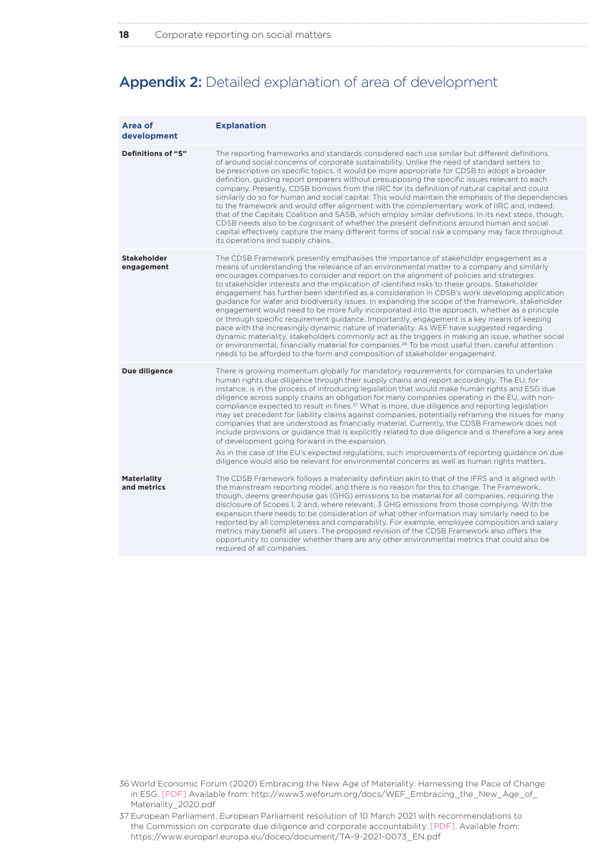# Appendix 2: Detailed explanation of area of development

| Area of<br>development            | <b>Explanation</b>                                                                                                                                                                                                                                                                                                                                                                                                                                                                                                                                                                                                                                                                                                                                                                                                                                                                                                                                                                                                                                                                                                                                                                       |
|-----------------------------------|------------------------------------------------------------------------------------------------------------------------------------------------------------------------------------------------------------------------------------------------------------------------------------------------------------------------------------------------------------------------------------------------------------------------------------------------------------------------------------------------------------------------------------------------------------------------------------------------------------------------------------------------------------------------------------------------------------------------------------------------------------------------------------------------------------------------------------------------------------------------------------------------------------------------------------------------------------------------------------------------------------------------------------------------------------------------------------------------------------------------------------------------------------------------------------------|
| Definitions of "S"                | The reporting frameworks and standards considered each use similar but different definitions<br>of around social concerns of corporate sustainability. Unlike the need of standard setters to<br>be prescriptive on specific topics, it would be more appropriate for CDSB to adopt a broader<br>definition, quiding report preparers without presupposing the specific issues relevant to each<br>company. Presently, CDSB borrows from the IIRC for its definition of natural capital and could<br>similarly do so for human and social capital. This would maintain the emphasis of the dependencies<br>to the framework and would offer alignment with the complementary work of IIRC and, indeed,<br>that of the Capitals Coalition and SASB, which employ similar definitions. In its next steps, though,<br>CDSB needs also to be cognisant of whether the present definitions around human and social<br>capital effectively capture the many different forms of social risk a company may face throughout<br>its operations and supply chains.                                                                                                                                  |
| <b>Stakeholder</b><br>engagement  | The CDSB Framework presently emphasises the importance of stakeholder engagement as a<br>means of understanding the relevance of an environmental matter to a company and similarly<br>encourages companies to consider and report on the alignment of policies and strategies<br>to stakeholder interests and the implication of identified risks to these groups. Stakeholder<br>engagement has further been identified as a consideration in CDSB's work developing application<br>guidance for water and biodiversity issues. In expanding the scope of the framework, stakeholder<br>engagement would need to be more fully incorporated into the approach, whether as a principle<br>or through specific requirement guidance. Importantly, engagement is a key means of keeping<br>pace with the increasingly dynamic nature of materiality. As WEF have suggested regarding<br>dynamic materiality, stakeholders commonly act as the triggers in making an issue, whether social<br>or environmental, financially material for companies. <sup>36</sup> To be most useful then, careful attention<br>needs to be afforded to the form and composition of stakeholder engagement. |
| Due diligence                     | There is growing momentum globally for mandatory requirements for companies to undertake<br>human rights due diligence through their supply chains and report accordingly. The EU, for<br>instance, is in the process of introducing legislation that would make human rights and ESG due<br>diligence across supply chains an obligation for many companies operating in the EU, with non-<br>compliance expected to result in fines. <sup>37</sup> What is more, due diligence and reporting legislation<br>may set precedent for liability claims against companies, potentially reframing the issues for many<br>companies that are understood as financially material. Currently, the CDSB Framework does not<br>include provisions or guidance that is explicitly related to due diligence and is therefore a key area<br>of development going forward in the expansion.<br>As in the case of the EU's expected regulations, such improvements of reporting guidance on due<br>diligence would also be relevant for environmental concerns as well as human rights matters.                                                                                                        |
| <b>Materiality</b><br>and metrics | The CDSB Framework follows a materiality definition akin to that of the IFRS and is aligned with<br>the mainstream reporting model, and there is no reason for this to change. The Framework,<br>though, deems greenhouse gas (GHG) emissions to be material for all companies, requiring the<br>disclosure of Scopes 1, 2 and, where relevant, 3 GHG emissions from those complying. With the<br>expansion there needs to be consideration of what other information may similarly need to be<br>reported by all completeness and comparability. For example, employee composition and salary<br>metrics may benefit all users. The proposed revision of the CDSB Framework also offers the<br>opportunity to consider whether there are any other environmental metrics that could also be<br>required of all companies.                                                                                                                                                                                                                                                                                                                                                               |

<sup>36</sup>World Economic Forum (2020) Embracing the New Age of Materiality: Harnessing the Pace of Change in ESG. [PDF] Available from: http://www3.weforum.org/docs/WEF\_Embracing\_the\_New\_Age\_of\_ Materiality\_2020.pdf

<sup>37</sup> European Parliament. European Parliament resolution of 10 March 2021 with recommendations to the Commission on corporate due diligence and corporate accountability. [PDF]. Available from: https://www.europarl.europa.eu/doceo/document/TA-9-2021-0073\_EN.pdf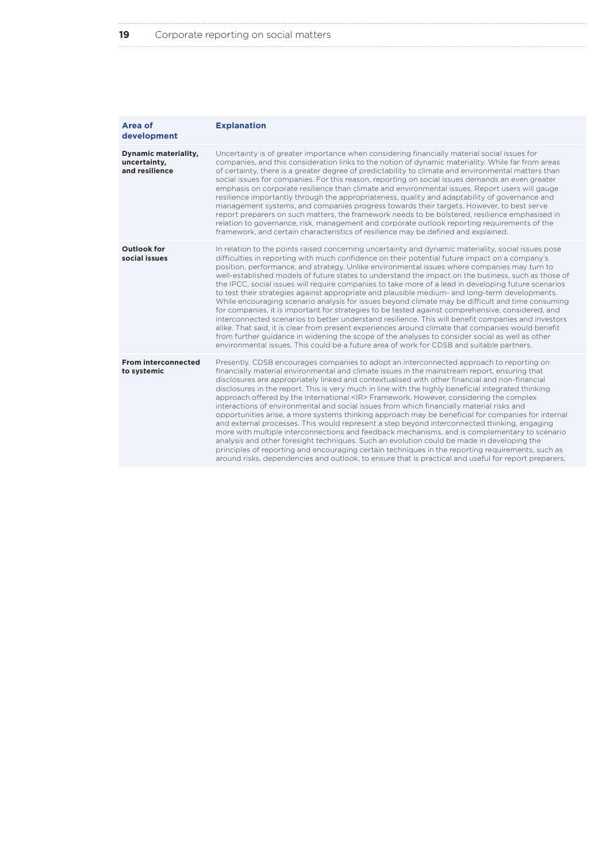| Area of<br>development                                        | <b>Explanation</b>                                                                                                                                                                                                                                                                                                                                                                                                                                                                                                                                                                                                                                                                                                                                                                                                                                                                                                                                                                                                                                                                                                                                                                                                                            |
|---------------------------------------------------------------|-----------------------------------------------------------------------------------------------------------------------------------------------------------------------------------------------------------------------------------------------------------------------------------------------------------------------------------------------------------------------------------------------------------------------------------------------------------------------------------------------------------------------------------------------------------------------------------------------------------------------------------------------------------------------------------------------------------------------------------------------------------------------------------------------------------------------------------------------------------------------------------------------------------------------------------------------------------------------------------------------------------------------------------------------------------------------------------------------------------------------------------------------------------------------------------------------------------------------------------------------|
| <b>Dynamic materiality,</b><br>uncertainty,<br>and resilience | Uncertainty is of greater importance when considering financially material social issues for<br>companies, and this consideration links to the notion of dynamic materiality. While far from areas<br>of certainty, there is a greater degree of predictability to climate and environmental matters than<br>social issues for companies. For this reason, reporting on social issues demands an even greater<br>emphasis on corporate resilience than climate and environmental issues. Report users will gauge<br>resilience importantly through the appropriateness, quality and adaptability of governance and<br>management systems, and companies progress towards their targets. However, to best serve<br>report preparers on such matters, the framework needs to be bolstered, resilience emphasised in<br>relation to governance, risk, management and corporate outlook reporting requirements of the<br>framework, and certain characteristics of resilience may be defined and explained.                                                                                                                                                                                                                                       |
| Outlook for<br>social issues                                  | In relation to the points raised concerning uncertainty and dynamic materiality, social issues pose<br>difficulties in reporting with much confidence on their potential future impact on a company's<br>position, performance, and strategy. Unlike environmental issues where companies may turn to<br>well-established models of future states to understand the impact on the business, such as those of<br>the IPCC, social issues will require companies to take more of a lead in developing future scenarios<br>to test their strategies against appropriate and plausible medium- and long-term developments.<br>While encouraging scenario analysis for issues beyond climate may be difficult and time consuming<br>for companies, it is important for strategies to be tested against comprehensive, considered, and<br>interconnected scenarios to better understand resilience. This will benefit companies and investors<br>alike. That said, it is clear from present experiences around climate that companies would benefit<br>from further guidance in widening the scope of the analyses to consider social as well as other<br>environmental issues. This could be a future area of work for CDSB and suitable partners. |
| <b>From interconnected</b><br>to systemic                     | Presently, CDSB encourages companies to adopt an interconnected approach to reporting on<br>financially material environmental and climate issues in the mainstream report, ensuring that<br>disclosures are appropriately linked and contextualised with other financial and non-financial<br>disclosures in the report. This is very much in line with the highly beneficial integrated thinking<br>approach offered by the International <ir>Framework. However, considering the complex<br/>interactions of environmental and social issues from which financially material risks and<br/>opportunities arise, a more systems thinking approach may be beneficial for companies for internal<br/>and external processes. This would represent a step beyond interconnected thinking, engaging<br/>more with multiple interconnections and feedback mechanisms, and is complementary to scenario<br/>analysis and other foresight techniques. Such an evolution could be made in developing the<br/>principles of reporting and encouraging certain techniques in the reporting requirements, such as<br/>around risks, dependencies and outlook, to ensure that is practical and useful for report preparers.</ir>                        |